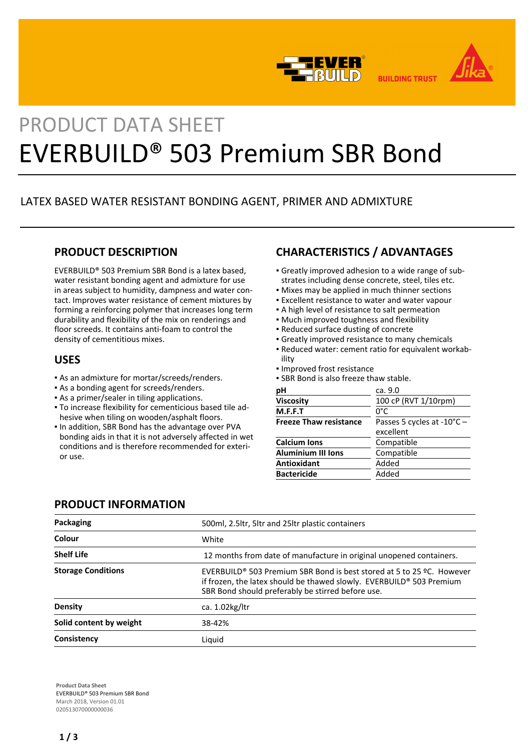

# PRODUCT DATA SHEET EVERBUILD® 503 Premium SBR Bond

# LATEX BASED WATER RESISTANT BONDING AGENT, PRIMER AND ADMIXTURE

## **PRODUCT DESCRIPTION**

EVERBUILD® 503 Premium SBR Bond is a latex based, water resistant bonding agent and admixture for use in areas subject to humidity, dampness and water contact. Improves water resistance of cement mixtures by forming a reinforcing polymer that increases long term durability and flexibility of the mix on renderings and floor screeds. It contains anti-foam to control the density of cementitious mixes.

## **USES**

- As an admixture for mortar/screeds/renders.
- **As a bonding agent for screeds/renders.**
- **As a primer/sealer in tiling applications.**
- To increase flexibility for cementicious based tile ad-▪ hesive when tiling on wooden/asphalt floors.
- In addition, SBR Bond has the advantage over PVA bonding aids in that it is not adversely affected in wet conditions and is therefore recommended for exterior use.

# **CHARACTERISTICS / ADVANTAGES**

- Greatly improved adhesion to a wide range of sub-▪ strates including dense concrete, steel, tiles etc.
- **Mixes may be applied in much thinner sections**
- **Excellent resistance to water and water vapour**
- A high level of resistance to salt permeation
- Much improved toughness and flexibility
- Reduced surface dusting of concrete
- **Greatly improved resistance to many chemicals**
- Reduced water: cement ratio for equivalent workab-▪ ility
- Improved frost resistance
- **.** SBR Bond is also freeze thaw stable.

| pH                            | ca. 9.0                             |  |
|-------------------------------|-------------------------------------|--|
| Viscosity                     | 100 cP (RVT 1/10rpm)                |  |
| M.F.F.T                       | 0°C                                 |  |
| <b>Freeze Thaw resistance</b> | Passes 5 cycles at $-10^{\circ}C -$ |  |
|                               | excellent                           |  |
| <b>Calcium Ions</b>           | Compatible                          |  |
| <b>Aluminium III Ions</b>     | Compatible                          |  |
| <b>Antioxidant</b>            | Added                               |  |
| <b>Bactericide</b>            | Added                               |  |
|                               |                                     |  |

# **PRODUCT INFORMATION**

| Packaging                 | 500ml, 2.5ltr, 5ltr and 25ltr plastic containers                                                                                                                                                      |  |
|---------------------------|-------------------------------------------------------------------------------------------------------------------------------------------------------------------------------------------------------|--|
| Colour                    | White                                                                                                                                                                                                 |  |
| <b>Shelf Life</b>         | 12 months from date of manufacture in original unopened containers.                                                                                                                                   |  |
| <b>Storage Conditions</b> | EVERBUILD® 503 Premium SBR Bond is best stored at 5 to 25 $9C$ . However<br>if frozen, the latex should be thawed slowly. EVERBUILD® 503 Premium<br>SBR Bond should preferably be stirred before use. |  |
| Density                   | ca. $1.02$ kg/ltr                                                                                                                                                                                     |  |
| Solid content by weight   | 38-42%                                                                                                                                                                                                |  |
| Consistency               | Liquid                                                                                                                                                                                                |  |

**Product Data Sheet** EVERBUILD® 503 Premium SBR Bond March 2018, Version 01.01 020513070000000036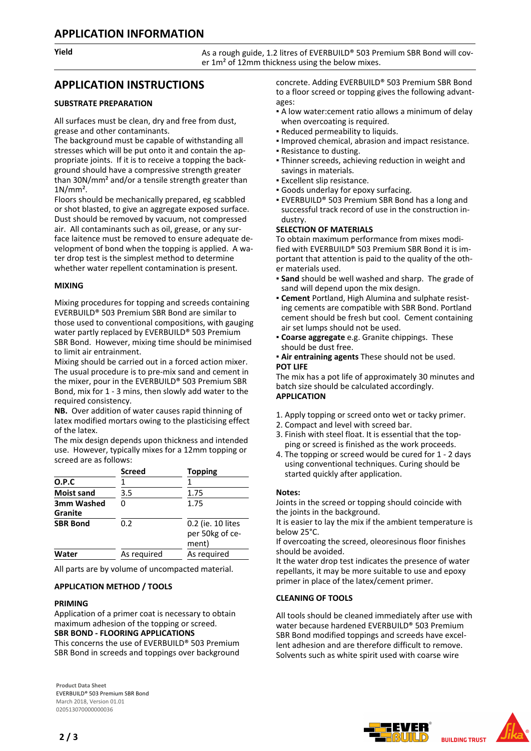**Yield As a rough guide, 1.2 litres of EVERBUILD®** 503 Premium SBR Bond will cover 1m<sup>2</sup> of 12mm thickness using the below mixes.

## **APPLICATION INSTRUCTIONS**

## **SUBSTRATE PREPARATION**

All surfaces must be clean, dry and free from dust, grease and other contaminants.

The background must be capable of withstanding all stresses which will be put onto it and contain the appropriate joints. If it is to receive a topping the background should have a compressive strength greater than 30N/mm² and/or a tensile strength greater than 1N/mm².

Floors should be mechanically prepared, eg scabbled or shot blasted, to give an aggregate exposed surface. Dust should be removed by vacuum, not compressed air. All contaminants such as oil, grease, or any surface laitence must be removed to ensure adequate development of bond when the topping is applied. A water drop test is the simplest method to determine whether water repellent contamination is present.

## **MIXING**

Mixing procedures for topping and screeds containing EVERBUILD® 503 Premium SBR Bond are similar to those used to conventional compositions, with gauging water partly replaced by EVERBUILD® 503 Premium SBR Bond. However, mixing time should be minimised to limit air entrainment.

Mixing should be carried out in a forced action mixer. The usual procedure is to pre-mix sand and cement in the mixer, pour in the EVERBUILD® 503 Premium SBR Bond, mix for 1 - 3 mins, then slowly add water to the required consistency.

**NB.** Over addition of water causes rapid thinning of latex modified mortars owing to the plasticising effect of the latex.

The mix design depends upon thickness and intended use. However, typically mixes for a 12mm topping or screed are as follows:

|                   | <b>Screed</b> | <b>Topping</b>                                |
|-------------------|---------------|-----------------------------------------------|
| O.P.C             |               |                                               |
| <b>Moist sand</b> | 3.5           | 1.75                                          |
| 3mm Washed        | በ             | 1.75                                          |
| Granite           |               |                                               |
| <b>SBR Bond</b>   | 0.2           | 0.2 (ie. 10 lites<br>per 50kg of ce-<br>ment) |
| Water             | As reguired   | As reguired                                   |

All parts are by volume of uncompacted material.

## **APPLICATION METHOD / TOOLS**

## **PRIMING**

Application of a primer coat is necessary to obtain maximum adhesion of the topping or screed. **SBR BOND - FLOORING APPLICATIONS**

This concerns the use of EVERBUILD® 503 Premium SBR Bond in screeds and toppings over background

**Product Data Sheet** EVERBUILD® 503 Premium SBR Bond March 2018, Version 01.01 020513070000000036

concrete. Adding EVERBUILD® 503 Premium SBR Bond to a floor screed or topping gives the following advantages:

- A low water:cement ratio allows a minimum of delay when overcoating is required.
- Reduced permeability to liquids.
- Improved chemical, abrasion and impact resistance.
- Resistance to dusting.
- **Thinner screeds, achieving reduction in weight and** savings in materials.
- Excellent slip resistance.
- Goods underlay for epoxy surfacing.
- **EVERBUILD® 503 Premium SBR Bond has a long and** successful track record of use in the construction industry.

## **SELECTION OF MATERIALS**

To obtain maximum performance from mixes modified with EVERBUILD® 503 Premium SBR Bond it is important that attention is paid to the quality of the other materials used.

- **Sand** should be well washed and sharp. The grade of sand will depend upon the mix design.
- **Cement** Portland, High Alumina and sulphate resist-▪ ing cements are compatible with SBR Bond. Portland cement should be fresh but cool. Cement containing air set lumps should not be used.
- **Coarse aggregate** e.g. Granite chippings. These should be dust free.

#### **Air entraining agents** These should not be used. **POT LIFE**

The mix has a pot life of approximately 30 minutes and batch size should be calculated accordingly. **APPLICATION**

- 1. Apply topping or screed onto wet or tacky primer.
- 2. Compact and level with screed bar.
- 3. Finish with steel float. It is essential that the topping or screed is finished as the work proceeds.
- 4. The topping or screed would be cured for 1 2 days using conventional techniques. Curing should be started quickly after application.

## **Notes:**

Joints in the screed or topping should coincide with the joints in the background.

It is easier to lay the mix if the ambient temperature is below 25°C.

If overcoating the screed, oleoresinous floor finishes should be avoided.

It the water drop test indicates the presence of water repellants, it may be more suitable to use and epoxy primer in place of the latex/cement primer.

## **CLEANING OF TOOLS**

All tools should be cleaned immediately after use with water because hardened EVERBUILD® 503 Premium SBR Bond modified toppings and screeds have excellent adhesion and are therefore difficult to remove. Solvents such as white spirit used with coarse wire